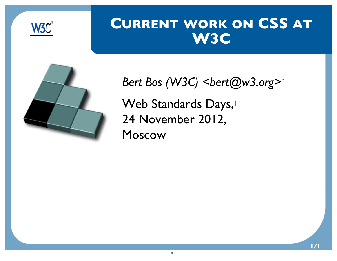

#### <span id="page-0-0"></span>**CURRENT WORK ON CSS AT W3C**



*Bert Bos (W3C) [<bert@w3.org>](mailto:bert@w3.org)<sup>↑</sup>* [Web Standards Days,](http://webstandardsdays.ru/2012/11/24/)<sup>↑</sup> 24 November 2012, Moscow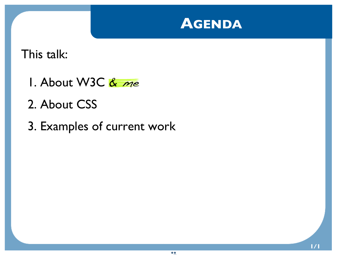

<span id="page-1-0"></span>This talk:

- 1. About W3C  $&$  me
- 2. About CSS
- 3. Examples of current work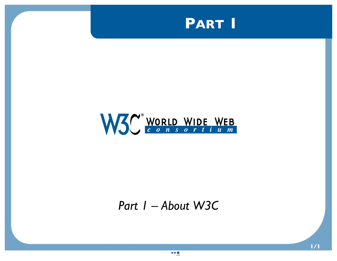<span id="page-2-0"></span>



#### *Part 1 – About W3C*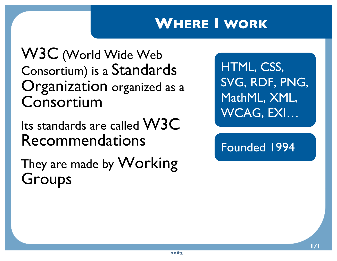## <span id="page-3-0"></span>**WHERE I WORK**

W3C (World Wide Web Consortium) is a Standards Organization organized as a Consortium

Its standards are called W3C Recommendations

They are made by Working Groups

HTML, CSS, SVG, RDF, PNG, MathML, XML, WCAG, EXI…

Founded 1994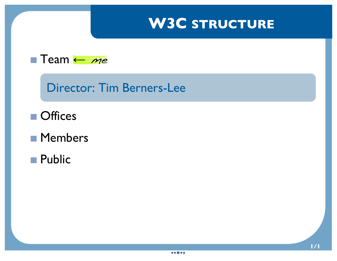## <span id="page-4-0"></span>**W3C STRUCTURE**



Director: Tim Berners-Lee

- **Offices**
- **Members**
- **Public**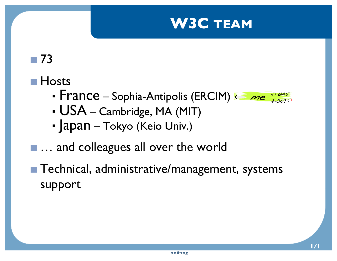#### **W3C TEAM**

## <span id="page-5-0"></span>73

#### **Hosts**

- France Sophia-Antipolis (ERCIM) ← me  $\frac{43.6145}{7.0695}$  $\frac{43.6145}{7.0695}$  $\frac{43.6145}{7.0695}$  $\frac{43.6145}{7.0695}$  $\frac{43.6145}{7.0695}$
- USA Cambridge, MA (MIT)
- Japan Tokyo (Keio Univ.)
- ... and colleagues all over the world
- Technical, administrative/management, systems support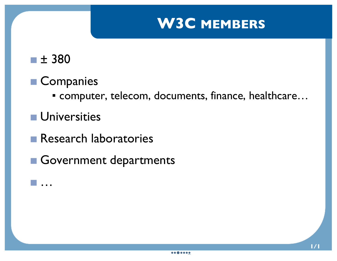#### **W3C MEMBERS**

<span id="page-6-0"></span>

…

#### **Companies**

▪ computer, telecom, documents, finance, healthcare…

**Universities** 

**Research laboratories** 

Government departments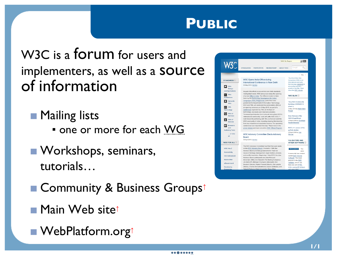#### **PUBLIC**

<span id="page-7-0"></span>W3C is a forum for users and implementers, as well as a source of information

**Mailing lists** 

- **· one or more for each WG**
- **N** Workshops, seminars, tutorials…
- [Community & Business Groups](http://www.w3.org/community/)<sup>↑</sup>
- [Main Web site](http://www.w3.org/)↑
- [WebPlatform.org](http://webplatform.org)↑

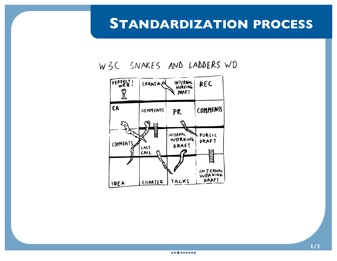#### <span id="page-8-0"></span>**STANDARDIZATION PROCESS**



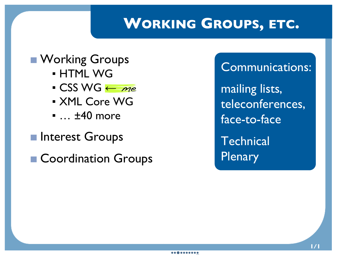#### <span id="page-9-0"></span>**WORKING GROUPS, ETC.**

## **N** Working Groups

- **HTML WG**
- CSS WG <sup>←</sup> me
- XML Core WG
- ... ±40 more
- **Interest Groups**
- Coordination Groups

Communications:

mailing lists, teleconferences, face-to-face

**Technical Plenary**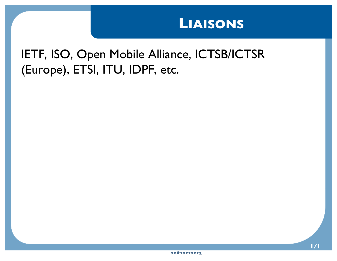#### **LIAISONS**

#### <span id="page-10-0"></span>IETF, ISO, Open Mobile Alliance, ICTSB/ICTSR (Europe), ETSI, ITU, IDPF, etc.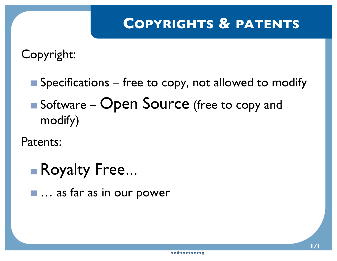## <span id="page-11-0"></span>**COPYRIGHTS & PATENTS**

Copyright:

 $\blacksquare$  Specifications – free to copy, not allowed to modify ■ Software – Open Source (free to copy and modify)

Patents:

■ Royalty Free…

■ ... as far as in our power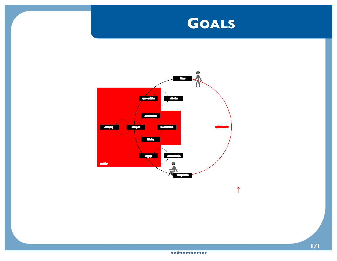

*[↑](communication.svg)*

<span id="page-12-0"></span>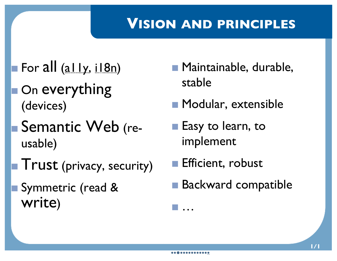#### <span id="page-13-0"></span>**VISION AND PRINCIPLES**

- For all (ally, il 8n)
- On everything (devices)
- Semantic Web (reusable)
- $\blacksquare$  Trust (privacy, security)
- Symmetric (read & write)
- Maintainable, durable, stable
- **Modular, extensible**
- **Easy to learn, to** implement
- Efficient, robust
- Backward compatible

…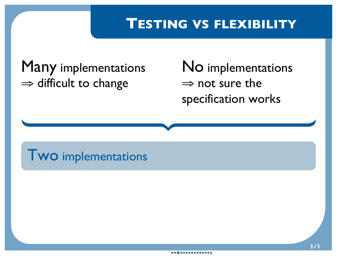#### <span id="page-14-0"></span>**TESTING VS FLEXIBILITY**

## Many implementations ⇒ difficult to change

No implementations  $\Rightarrow$  not sure the specification works

## Two implementations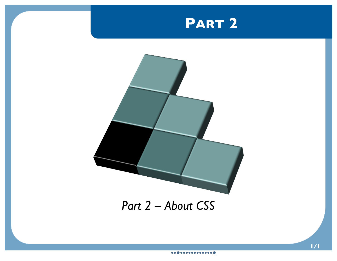## **PART 2**

<span id="page-15-0"></span>

#### *Part 2 – About CSS*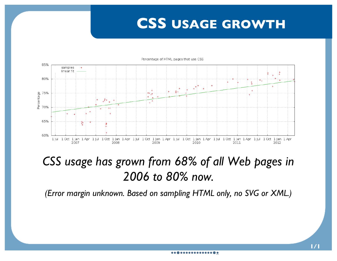#### <span id="page-16-0"></span>**CSS USAGE GROWTH**



#### *CSS usage has grown from 68% of all Web pages in 2006 to 80% now.*

*(Error margin unknown. Based on sampling HTML only, no SVG or XML.)*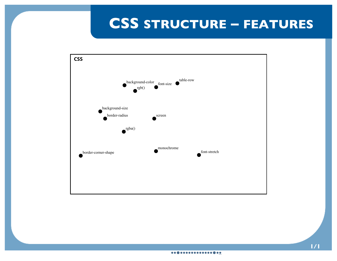## <span id="page-17-0"></span>**CSS STRUCTURE – FEATURES**

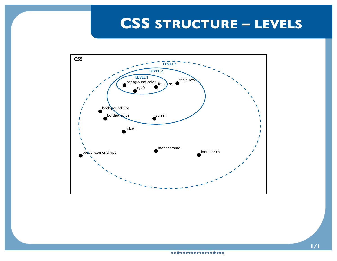#### <span id="page-18-0"></span>**CSS STRUCTURE – LEVELS**

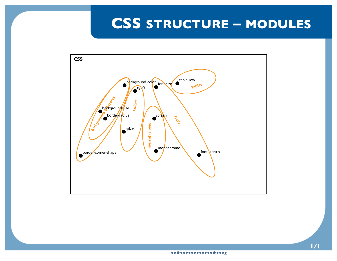## <span id="page-19-0"></span>**CSS STRUCTURE – MODULES**

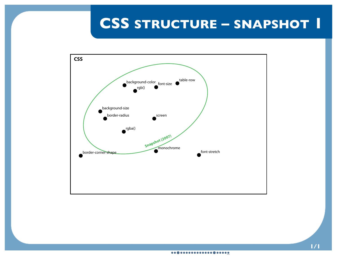## <span id="page-20-0"></span>**CSS STRUCTURE – SNAPSHOT 1**

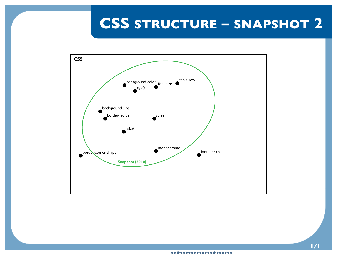## <span id="page-21-0"></span>**CSS STRUCTURE – SNAPSHOT 2**

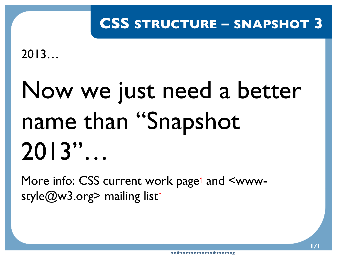## <span id="page-22-0"></span>**CSS STRUCTURE – SNAPSHOT 3**

2013…

# Now we just need a better name than "Snapshot 2013"…

More info: [CSS current work page](http://www.w3.org/Style/CSS/current-work)<sup>↑</sup> and [<www](http://lists.w3.org/Archives/Public/www-style/)[style@w3.org> mailing list](http://lists.w3.org/Archives/Public/www-style/)<sup>↑</sup>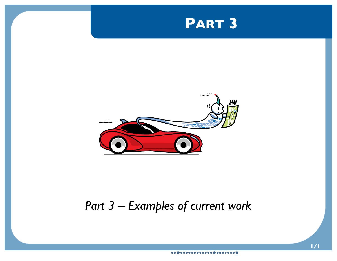#### **PART 3**

<span id="page-23-0"></span>

#### *Part 3 – Examples of current work*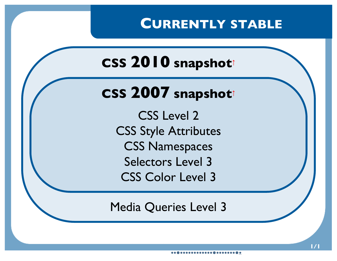#### **CURRENTLY STABLE**

<span id="page-24-0"></span>**CSS [2010](http://www.w3.org/TR/css-2010) snapshot<sup>↑</sup>**

## **CSS [2007](http://www.w3.org/TR/css-beijing) snapshot<sup>↑</sup>**

CSS Level 2 CSS Style Attributes CSS Namespaces Selectors Level 3 CSS Color Level 3

Media Queries Level 3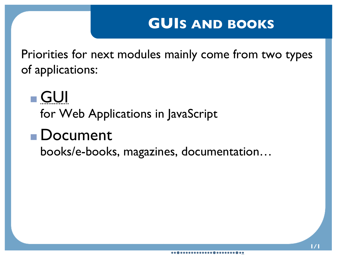#### <span id="page-25-0"></span>**GUIS AND BOOKS**

Priorities for next modules mainly come from two types of applications:

GUI for Web Applications in JavaScript

## Document

books/e-books, magazines, documentation…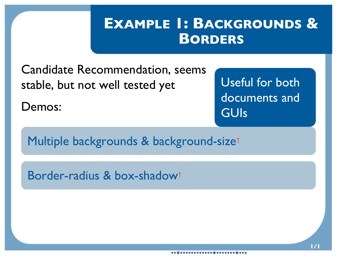## <span id="page-26-0"></span>**EXAMPLE 1: BACKGROUNDS & BORDERS**

Candidate Recommendation, seems stable, but not well tested yet

Demos:

Useful for both documents and GUIs

[Multiple backgrounds & background-size](demo-bg.html)<sup>↑</sup>

[Border-radius & box-shadow](demo-box-shadow.html)<sup>↑</sup>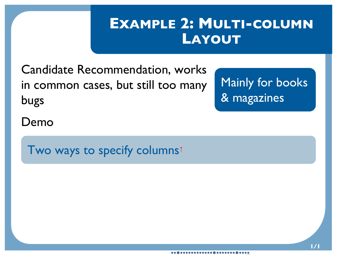## <span id="page-27-0"></span>**EXAMPLE 2: MULTI-COLUMN LAYOUT**

Candidate Recommendation, works in common cases, but still too many bugs

Mainly for books & magazines

Demo

[Two ways to specify columns](demo-width-count.html)<sup>↑</sup>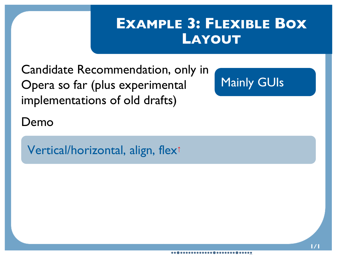## <span id="page-28-0"></span>**EXAMPLE 3: FLEXIBLE BOX LAYOUT**

Candidate Recommendation, only in Opera so far (plus experimental implementations of old drafts)

Mainly GUIs

Demo

[Vertical/horizontal, align, flex](demo-table.html)<sup>↑</sup>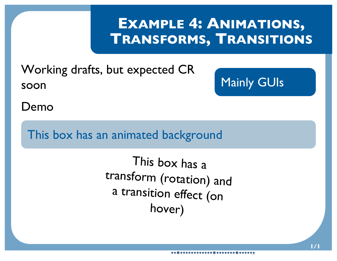## <span id="page-29-0"></span>**EXAMPLE 4: ANIMATIONS, TRANSFORMS, TRANSITIONS**

Working drafts, but expected CR soon

Mainly GUIs

Demo

This box has an animated background

This box has a transform (rotation) and a transition effect (on hover)